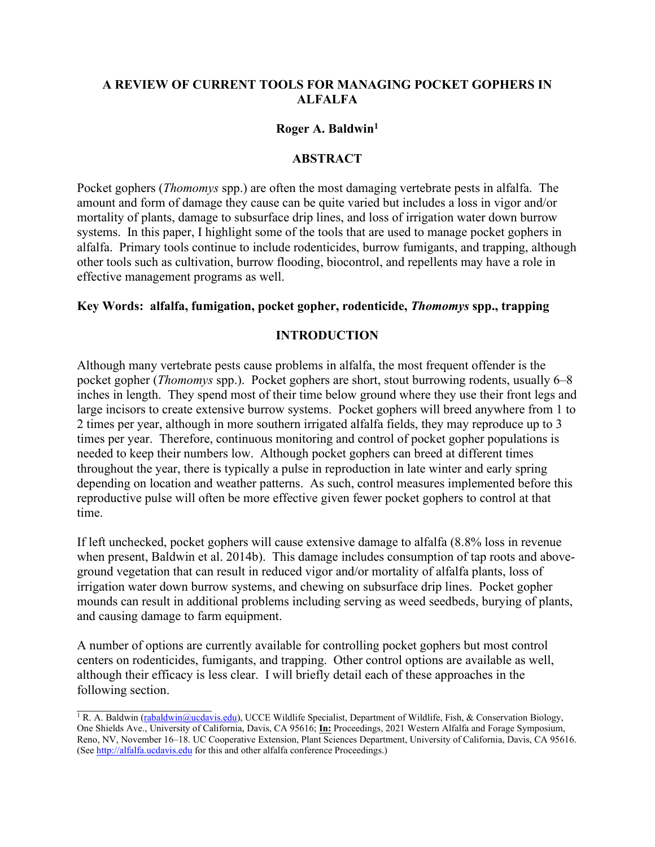## **A REVIEW OF CURRENT TOOLS FOR MANAGING POCKET GOPHERS IN ALFALFA**

## **Roger A. Baldwin1**

## **ABSTRACT**

Pocket gophers (*Thomomys* spp.) are often the most damaging vertebrate pests in alfalfa. The amount and form of damage they cause can be quite varied but includes a loss in vigor and/or mortality of plants, damage to subsurface drip lines, and loss of irrigation water down burrow systems. In this paper, I highlight some of the tools that are used to manage pocket gophers in alfalfa. Primary tools continue to include rodenticides, burrow fumigants, and trapping, although other tools such as cultivation, burrow flooding, biocontrol, and repellents may have a role in effective management programs as well.

### **Key Words: alfalfa, fumigation, pocket gopher, rodenticide,** *Thomomys* **spp., trapping**

## **INTRODUCTION**

Although many vertebrate pests cause problems in alfalfa, the most frequent offender is the pocket gopher (*Thomomys* spp.). Pocket gophers are short, stout burrowing rodents, usually 6–8 inches in length. They spend most of their time below ground where they use their front legs and large incisors to create extensive burrow systems. Pocket gophers will breed anywhere from 1 to 2 times per year, although in more southern irrigated alfalfa fields, they may reproduce up to 3 times per year. Therefore, continuous monitoring and control of pocket gopher populations is needed to keep their numbers low. Although pocket gophers can breed at different times throughout the year, there is typically a pulse in reproduction in late winter and early spring depending on location and weather patterns. As such, control measures implemented before this reproductive pulse will often be more effective given fewer pocket gophers to control at that time.

If left unchecked, pocket gophers will cause extensive damage to alfalfa (8.8% loss in revenue when present, Baldwin et al. 2014b). This damage includes consumption of tap roots and aboveground vegetation that can result in reduced vigor and/or mortality of alfalfa plants, loss of irrigation water down burrow systems, and chewing on subsurface drip lines. Pocket gopher mounds can result in additional problems including serving as weed seedbeds, burying of plants, and causing damage to farm equipment.

A number of options are currently available for controlling pocket gophers but most control centers on rodenticides, fumigants, and trapping. Other control options are available as well, although their efficacy is less clear. I will briefly detail each of these approaches in the following section.

 $\frac{1}{1}$  R. A. Baldwin [\(rabaldwin@ucdavis.edu\)](mailto:rabaldwin@ucdavis.edu), UCCE Wildlife Specialist, Department of Wildlife, Fish, & Conservation Biology, One Shields Ave., University of California, Davis, CA 95616; **In:** Proceedings, 2021 Western Alfalfa and Forage Symposium, Reno, NV, November 16–18. UC Cooperative Extension, Plant Sciences Department, University of California, Davis, CA 95616. (See [http://alfalfa.ucdavis.edu](http://alfalfa.ucdavis.edu/) for this and other alfalfa conference Proceedings.)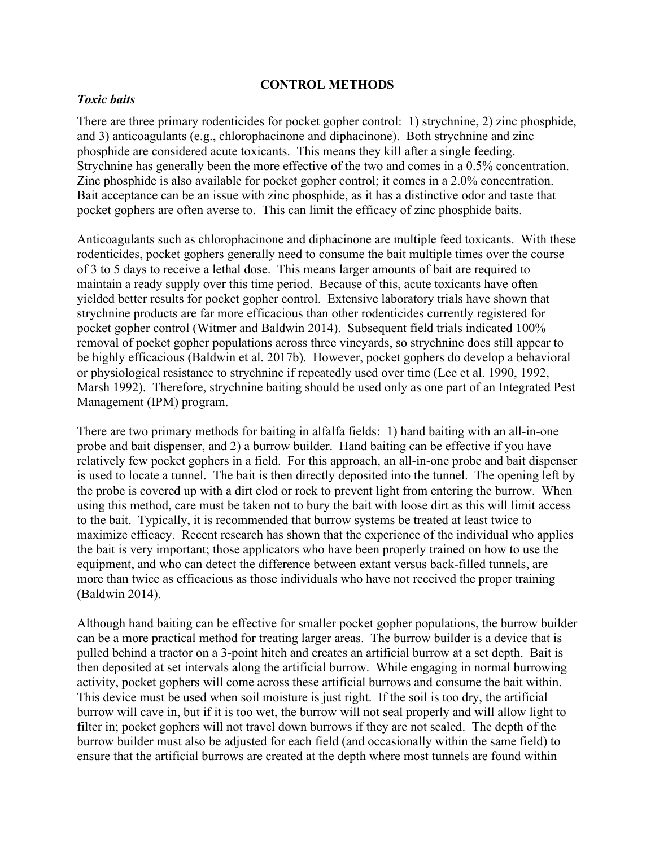#### **CONTROL METHODS**

#### *Toxic baits*

There are three primary rodenticides for pocket gopher control: 1) strychnine, 2) zinc phosphide, and 3) anticoagulants (e.g., chlorophacinone and diphacinone). Both strychnine and zinc phosphide are considered acute toxicants. This means they kill after a single feeding. Strychnine has generally been the more effective of the two and comes in a 0.5% concentration. Zinc phosphide is also available for pocket gopher control; it comes in a 2.0% concentration. Bait acceptance can be an issue with zinc phosphide, as it has a distinctive odor and taste that pocket gophers are often averse to. This can limit the efficacy of zinc phosphide baits.

Anticoagulants such as chlorophacinone and diphacinone are multiple feed toxicants. With these rodenticides, pocket gophers generally need to consume the bait multiple times over the course of 3 to 5 days to receive a lethal dose. This means larger amounts of bait are required to maintain a ready supply over this time period. Because of this, acute toxicants have often yielded better results for pocket gopher control. Extensive laboratory trials have shown that strychnine products are far more efficacious than other rodenticides currently registered for pocket gopher control (Witmer and Baldwin 2014). Subsequent field trials indicated 100% removal of pocket gopher populations across three vineyards, so strychnine does still appear to be highly efficacious (Baldwin et al. 2017b). However, pocket gophers do develop a behavioral or physiological resistance to strychnine if repeatedly used over time (Lee et al. 1990, 1992, Marsh 1992). Therefore, strychnine baiting should be used only as one part of an Integrated Pest Management (IPM) program.

There are two primary methods for baiting in alfalfa fields: 1) hand baiting with an all-in-one probe and bait dispenser, and 2) a burrow builder. Hand baiting can be effective if you have relatively few pocket gophers in a field. For this approach, an all-in-one probe and bait dispenser is used to locate a tunnel. The bait is then directly deposited into the tunnel. The opening left by the probe is covered up with a dirt clod or rock to prevent light from entering the burrow. When using this method, care must be taken not to bury the bait with loose dirt as this will limit access to the bait. Typically, it is recommended that burrow systems be treated at least twice to maximize efficacy. Recent research has shown that the experience of the individual who applies the bait is very important; those applicators who have been properly trained on how to use the equipment, and who can detect the difference between extant versus back-filled tunnels, are more than twice as efficacious as those individuals who have not received the proper training (Baldwin 2014).

Although hand baiting can be effective for smaller pocket gopher populations, the burrow builder can be a more practical method for treating larger areas. The burrow builder is a device that is pulled behind a tractor on a 3-point hitch and creates an artificial burrow at a set depth. Bait is then deposited at set intervals along the artificial burrow. While engaging in normal burrowing activity, pocket gophers will come across these artificial burrows and consume the bait within. This device must be used when soil moisture is just right. If the soil is too dry, the artificial burrow will cave in, but if it is too wet, the burrow will not seal properly and will allow light to filter in; pocket gophers will not travel down burrows if they are not sealed. The depth of the burrow builder must also be adjusted for each field (and occasionally within the same field) to ensure that the artificial burrows are created at the depth where most tunnels are found within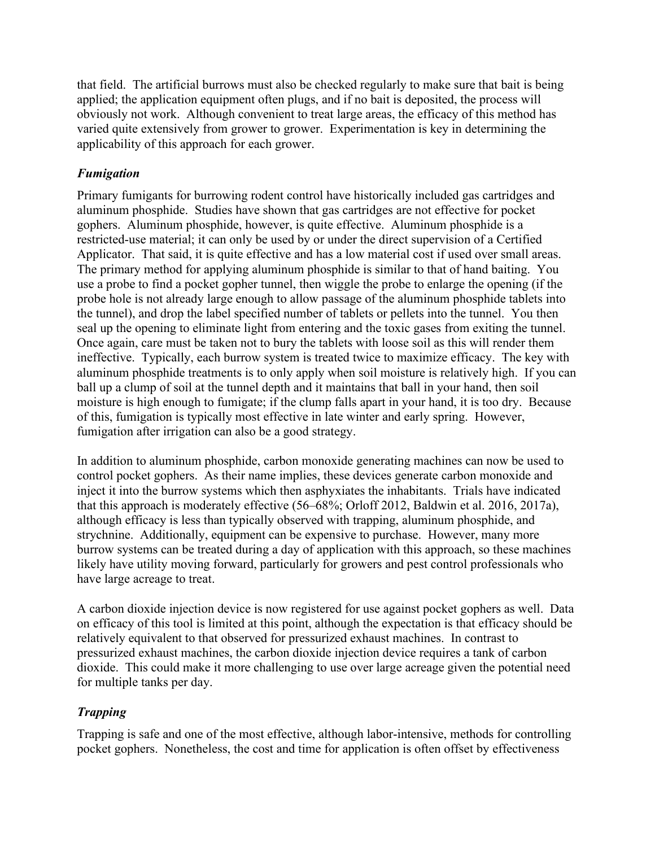that field. The artificial burrows must also be checked regularly to make sure that bait is being applied; the application equipment often plugs, and if no bait is deposited, the process will obviously not work. Although convenient to treat large areas, the efficacy of this method has varied quite extensively from grower to grower. Experimentation is key in determining the applicability of this approach for each grower.

# *Fumigation*

Primary fumigants for burrowing rodent control have historically included gas cartridges and aluminum phosphide. Studies have shown that gas cartridges are not effective for pocket gophers. Aluminum phosphide, however, is quite effective. Aluminum phosphide is a restricted-use material; it can only be used by or under the direct supervision of a Certified Applicator. That said, it is quite effective and has a low material cost if used over small areas. The primary method for applying aluminum phosphide is similar to that of hand baiting. You use a probe to find a pocket gopher tunnel, then wiggle the probe to enlarge the opening (if the probe hole is not already large enough to allow passage of the aluminum phosphide tablets into the tunnel), and drop the label specified number of tablets or pellets into the tunnel. You then seal up the opening to eliminate light from entering and the toxic gases from exiting the tunnel. Once again, care must be taken not to bury the tablets with loose soil as this will render them ineffective. Typically, each burrow system is treated twice to maximize efficacy. The key with aluminum phosphide treatments is to only apply when soil moisture is relatively high. If you can ball up a clump of soil at the tunnel depth and it maintains that ball in your hand, then soil moisture is high enough to fumigate; if the clump falls apart in your hand, it is too dry. Because of this, fumigation is typically most effective in late winter and early spring. However, fumigation after irrigation can also be a good strategy.

In addition to aluminum phosphide, carbon monoxide generating machines can now be used to control pocket gophers. As their name implies, these devices generate carbon monoxide and inject it into the burrow systems which then asphyxiates the inhabitants. Trials have indicated that this approach is moderately effective (56–68%; Orloff 2012, Baldwin et al. 2016, 2017a), although efficacy is less than typically observed with trapping, aluminum phosphide, and strychnine. Additionally, equipment can be expensive to purchase. However, many more burrow systems can be treated during a day of application with this approach, so these machines likely have utility moving forward, particularly for growers and pest control professionals who have large acreage to treat.

A carbon dioxide injection device is now registered for use against pocket gophers as well. Data on efficacy of this tool is limited at this point, although the expectation is that efficacy should be relatively equivalent to that observed for pressurized exhaust machines. In contrast to pressurized exhaust machines, the carbon dioxide injection device requires a tank of carbon dioxide. This could make it more challenging to use over large acreage given the potential need for multiple tanks per day.

# *Trapping*

Trapping is safe and one of the most effective, although labor-intensive, methods for controlling pocket gophers. Nonetheless, the cost and time for application is often offset by effectiveness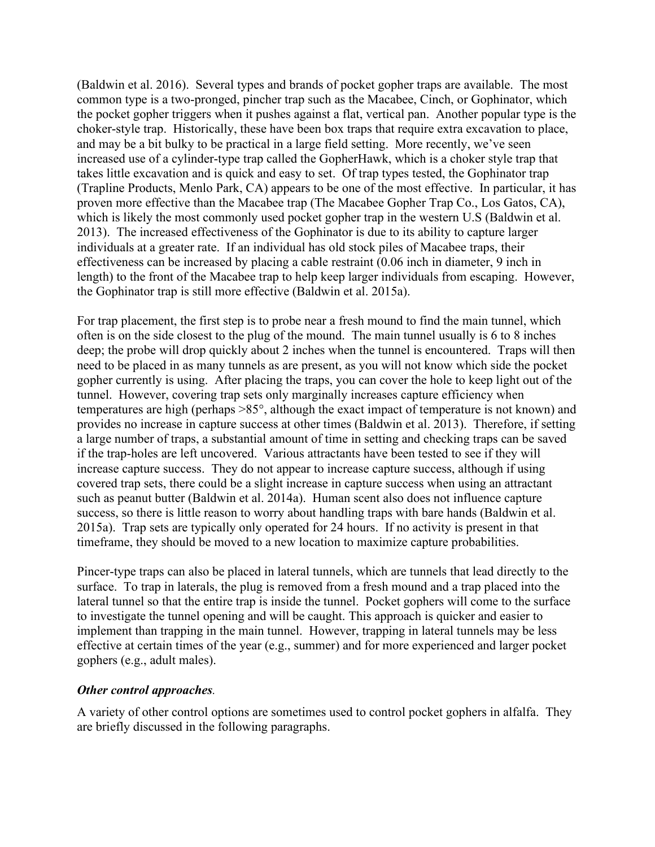(Baldwin et al. 2016). Several types and brands of pocket gopher traps are available. The most common type is a two-pronged, pincher trap such as the Macabee, Cinch, or Gophinator, which the pocket gopher triggers when it pushes against a flat, vertical pan. Another popular type is the choker-style trap. Historically, these have been box traps that require extra excavation to place, and may be a bit bulky to be practical in a large field setting. More recently, we've seen increased use of a cylinder-type trap called the GopherHawk, which is a choker style trap that takes little excavation and is quick and easy to set. Of trap types tested, the Gophinator trap (Trapline Products, Menlo Park, CA) appears to be one of the most effective. In particular, it has proven more effective than the Macabee trap (The Macabee Gopher Trap Co., Los Gatos, CA), which is likely the most commonly used pocket gopher trap in the western U.S (Baldwin et al. 2013). The increased effectiveness of the Gophinator is due to its ability to capture larger individuals at a greater rate. If an individual has old stock piles of Macabee traps, their effectiveness can be increased by placing a cable restraint (0.06 inch in diameter, 9 inch in length) to the front of the Macabee trap to help keep larger individuals from escaping. However, the Gophinator trap is still more effective (Baldwin et al. 2015a).

For trap placement, the first step is to probe near a fresh mound to find the main tunnel, which often is on the side closest to the plug of the mound. The main tunnel usually is 6 to 8 inches deep; the probe will drop quickly about 2 inches when the tunnel is encountered. Traps will then need to be placed in as many tunnels as are present, as you will not know which side the pocket gopher currently is using. After placing the traps, you can cover the hole to keep light out of the tunnel. However, covering trap sets only marginally increases capture efficiency when temperatures are high (perhaps >85°, although the exact impact of temperature is not known) and provides no increase in capture success at other times (Baldwin et al. 2013). Therefore, if setting a large number of traps, a substantial amount of time in setting and checking traps can be saved if the trap-holes are left uncovered. Various attractants have been tested to see if they will increase capture success. They do not appear to increase capture success, although if using covered trap sets, there could be a slight increase in capture success when using an attractant such as peanut butter (Baldwin et al. 2014a). Human scent also does not influence capture success, so there is little reason to worry about handling traps with bare hands (Baldwin et al. 2015a). Trap sets are typically only operated for 24 hours. If no activity is present in that timeframe, they should be moved to a new location to maximize capture probabilities.

Pincer-type traps can also be placed in lateral tunnels, which are tunnels that lead directly to the surface. To trap in laterals, the plug is removed from a fresh mound and a trap placed into the lateral tunnel so that the entire trap is inside the tunnel. Pocket gophers will come to the surface to investigate the tunnel opening and will be caught. This approach is quicker and easier to implement than trapping in the main tunnel. However, trapping in lateral tunnels may be less effective at certain times of the year (e.g., summer) and for more experienced and larger pocket gophers (e.g., adult males).

## *Other control approaches.*

A variety of other control options are sometimes used to control pocket gophers in alfalfa. They are briefly discussed in the following paragraphs.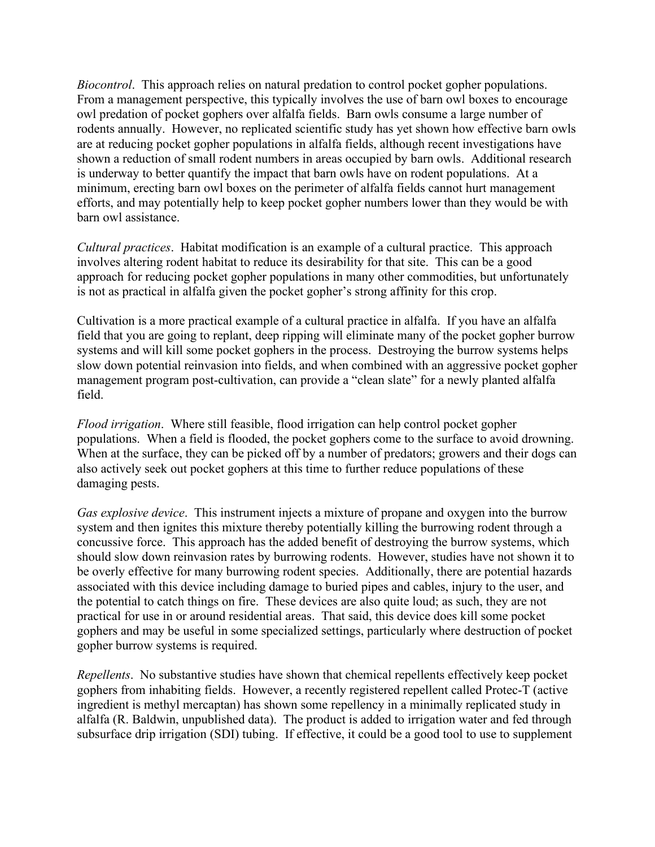*Biocontrol*. This approach relies on natural predation to control pocket gopher populations. From a management perspective, this typically involves the use of barn owl boxes to encourage owl predation of pocket gophers over alfalfa fields. Barn owls consume a large number of rodents annually. However, no replicated scientific study has yet shown how effective barn owls are at reducing pocket gopher populations in alfalfa fields, although recent investigations have shown a reduction of small rodent numbers in areas occupied by barn owls. Additional research is underway to better quantify the impact that barn owls have on rodent populations. At a minimum, erecting barn owl boxes on the perimeter of alfalfa fields cannot hurt management efforts, and may potentially help to keep pocket gopher numbers lower than they would be with barn owl assistance.

*Cultural practices*. Habitat modification is an example of a cultural practice. This approach involves altering rodent habitat to reduce its desirability for that site. This can be a good approach for reducing pocket gopher populations in many other commodities, but unfortunately is not as practical in alfalfa given the pocket gopher's strong affinity for this crop.

Cultivation is a more practical example of a cultural practice in alfalfa. If you have an alfalfa field that you are going to replant, deep ripping will eliminate many of the pocket gopher burrow systems and will kill some pocket gophers in the process. Destroying the burrow systems helps slow down potential reinvasion into fields, and when combined with an aggressive pocket gopher management program post-cultivation, can provide a "clean slate" for a newly planted alfalfa field.

*Flood irrigation*. Where still feasible, flood irrigation can help control pocket gopher populations. When a field is flooded, the pocket gophers come to the surface to avoid drowning. When at the surface, they can be picked off by a number of predators; growers and their dogs can also actively seek out pocket gophers at this time to further reduce populations of these damaging pests.

*Gas explosive device*. This instrument injects a mixture of propane and oxygen into the burrow system and then ignites this mixture thereby potentially killing the burrowing rodent through a concussive force. This approach has the added benefit of destroying the burrow systems, which should slow down reinvasion rates by burrowing rodents. However, studies have not shown it to be overly effective for many burrowing rodent species. Additionally, there are potential hazards associated with this device including damage to buried pipes and cables, injury to the user, and the potential to catch things on fire. These devices are also quite loud; as such, they are not practical for use in or around residential areas. That said, this device does kill some pocket gophers and may be useful in some specialized settings, particularly where destruction of pocket gopher burrow systems is required.

*Repellents*. No substantive studies have shown that chemical repellents effectively keep pocket gophers from inhabiting fields. However, a recently registered repellent called Protec-T (active ingredient is methyl mercaptan) has shown some repellency in a minimally replicated study in alfalfa (R. Baldwin, unpublished data). The product is added to irrigation water and fed through subsurface drip irrigation (SDI) tubing. If effective, it could be a good tool to use to supplement